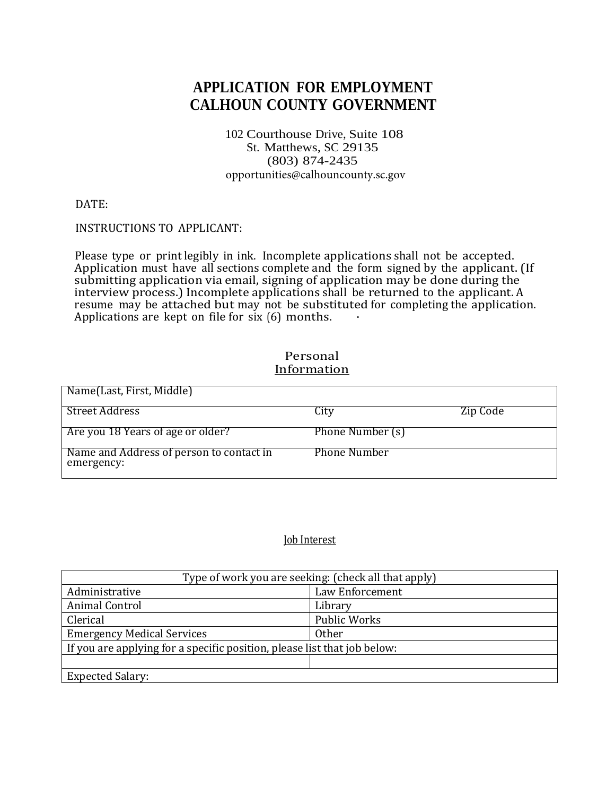# **APPLICATION FOR EMPLOYMENT CALHOUN COUNTY GOVERNMENT**

102 Courthouse Drive, Suite 108 St. Matthews, SC 29135 (803) 874-2435 opportunities@calhouncounty.sc.gov

DATE: 

### INSTRUCTIONS TO APPLICANT:

Please type or print legibly in ink. Incomplete applications shall not be accepted. Application must have all sections complete and the form signed by the applicant. (If submitting application via email, signing of application may be done during the interview process.) Incomplete applications shall be returned to the applicant. A resume  $\frac{1}{2}$  be attached but may not be substituted for completing the application. Applications are kept on file for six  $(6)$  months.

# Name(Last, First, Middle) Street Address City Zip Code Are you 18 Years of age or older? Phone Number (s) Name and Address of person to contact in emergency: Phone Number

### Personal **Information**

## **Job** Interest

| Type of work you are seeking: (check all that apply)                     |                     |  |  |  |
|--------------------------------------------------------------------------|---------------------|--|--|--|
| Law Enforcement<br>Administrative                                        |                     |  |  |  |
| Animal Control<br>Library                                                |                     |  |  |  |
| Clerical                                                                 | <b>Public Works</b> |  |  |  |
| <b>Emergency Medical Services</b><br>Other                               |                     |  |  |  |
| If you are applying for a specific position, please list that job below: |                     |  |  |  |
|                                                                          |                     |  |  |  |
| <b>Expected Salary:</b>                                                  |                     |  |  |  |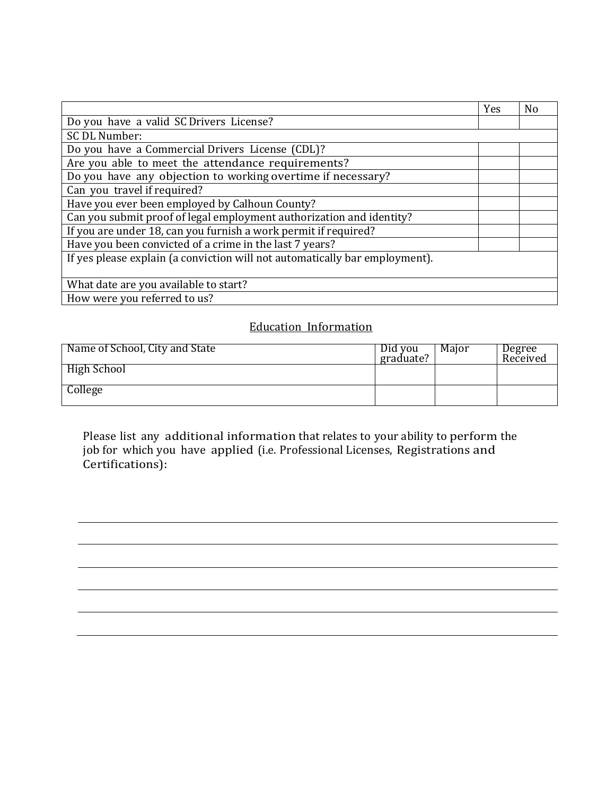|                                                                             | Yes | N <sub>0</sub> |
|-----------------------------------------------------------------------------|-----|----------------|
| Do you have a valid SC Drivers License?                                     |     |                |
| SC DL Number:                                                               |     |                |
| Do you have a Commercial Drivers License (CDL)?                             |     |                |
| Are you able to meet the attendance requirements?                           |     |                |
| Do you have any objection to working overtime if necessary?                 |     |                |
| Can you travel if required?                                                 |     |                |
| Have you ever been employed by Calhoun County?                              |     |                |
| Can you submit proof of legal employment authorization and identity?        |     |                |
| If you are under 18, can you furnish a work permit if required?             |     |                |
| Have you been convicted of a crime in the last 7 years?                     |     |                |
| If yes please explain (a conviction will not automatically bar employment). |     |                |
|                                                                             |     |                |
| What date are you available to start?                                       |     |                |
| How were you referred to us?                                                |     |                |

# **Education Information**

| Name of School, City and State | Did you<br>graduate? | Major | Degree<br>Received |
|--------------------------------|----------------------|-------|--------------------|
| High School                    |                      |       |                    |
| College                        |                      |       |                    |

Please list any additional information that relates to your ability to perform the job for which you have applied (i.e. Professional Licenses, Registrations and Certifications):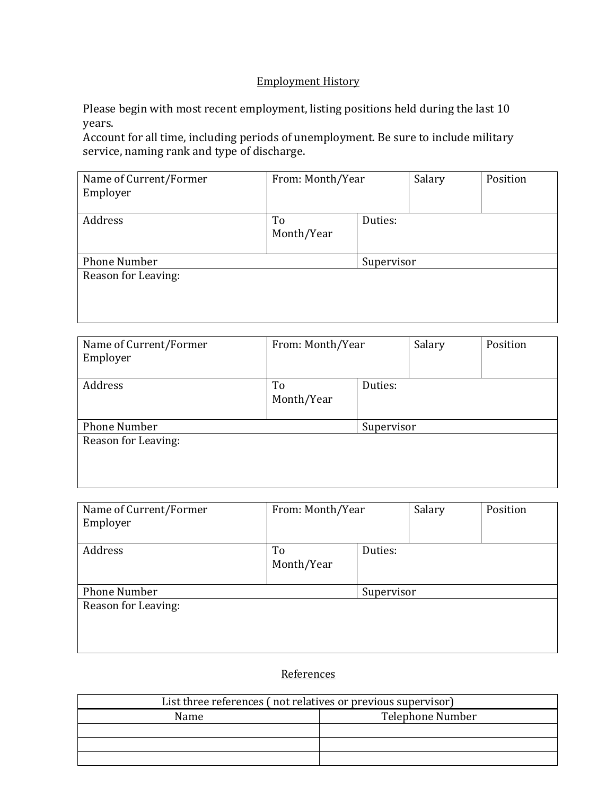## **Employment History**

Please begin with most recent employment, listing positions held during the last 10 years. 

Account for all time, including periods of unemployment. Be sure to include military service, naming rank and type of discharge.

| Name of Current/Former<br>Employer | From: Month/Year            |            | Salary | Position |
|------------------------------------|-----------------------------|------------|--------|----------|
| Address                            | To<br>Duties:<br>Month/Year |            |        |          |
| <b>Phone Number</b>                |                             | Supervisor |        |          |
| Reason for Leaving:                |                             |            |        |          |
|                                    |                             |            |        |          |

| Name of Current/Former<br>Employer | From: Month/Year            |            | Salary | Position |
|------------------------------------|-----------------------------|------------|--------|----------|
| Address                            | Duties:<br>To<br>Month/Year |            |        |          |
| <b>Phone Number</b>                |                             | Supervisor |        |          |
| Reason for Leaving:                |                             |            |        |          |

| Name of Current/Former<br>Employer | From: Month/Year            |            | Salary | Position |
|------------------------------------|-----------------------------|------------|--------|----------|
| Address                            | Duties:<br>To<br>Month/Year |            |        |          |
| <b>Phone Number</b>                |                             | Supervisor |        |          |
| Reason for Leaving:                |                             |            |        |          |

# **References**

| List three references (not relatives or previous supervisor) |                  |  |
|--------------------------------------------------------------|------------------|--|
| Name                                                         | Telephone Number |  |
|                                                              |                  |  |
|                                                              |                  |  |
|                                                              |                  |  |